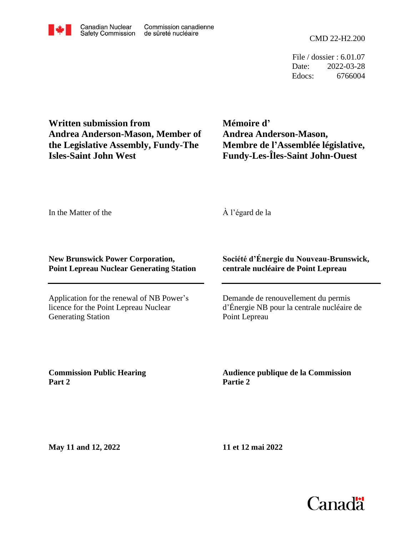File / dossier : 6.01.07 Date: 2022-03-28 Edocs: 6766004

**Written submission from Andrea Anderson-Mason, Member of the Legislative Assembly, Fundy-The Isles-Saint John West**

**Mémoire d' Andrea Anderson-Mason, Membre de l'Assemblée législative, Fundy-Les-Îles-Saint John-Ouest**

In the Matter of the

À l'égard de la

#### **New Brunswick Power Corporation, Point Lepreau Nuclear Generating Station**

Application for the renewal of NB Power's licence for the Point Lepreau Nuclear Generating Station

### **Société d'Énergie du Nouveau-Brunswick, centrale nucléaire de Point Lepreau**

Demande de renouvellement du permis d'Énergie NB pour la centrale nucléaire de Point Lepreau

**Commission Public Hearing Part 2**

**Audience publique de la Commission Partie 2**

**May 11 and 12, 2022**

**11 et 12 mai 2022**

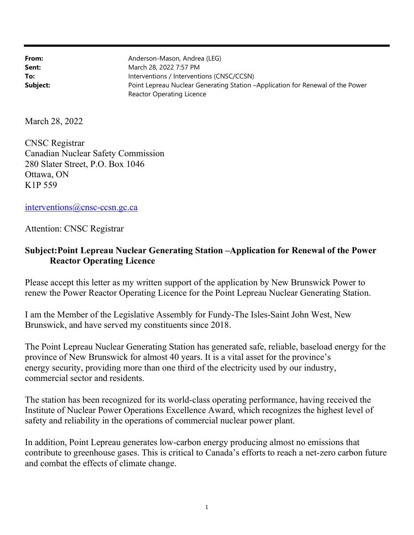| From:    | Anderson-Mason, Andrea (LEG)                                                   |
|----------|--------------------------------------------------------------------------------|
| Sent:    | March 28, 2022 7:57 PM                                                         |
| To:      | Interventions / Interventions (CNSC/CCSN)                                      |
| Subject: | Point Lepreau Nuclear Generating Station -Application for Renewal of the Power |
|          | Reactor Operating Licence                                                      |

March 28, 2022

CNSC Registrar Canadian Nuclear Safety Commission 280 Slater Street, P.O. Box 1046 Ottawa, ON K1P 559

interventions@cnsc-ccsn.gc.ca

### Attention: CNSC Registrar

## Subject:Point Lepreau Nuclear Generating Station –Application for Renewal of the Power Reactor Operating Licence

Please accept this letter as my written support of the application by New Brunswick Power to renew the Power Reactor Operating Licence for the Point Lepreau Nuclear Generating Station.

I am the Member of the Legislative Assembly for Fundy-The Isles-Saint John West, New Brunswick, and have served my constituents since 2018.

The Point Lepreau Nuclear Generating Station has generated safe, reliable, baseload energy for the province of New Brunswick for almost 40 years. It is a vital asset for the province's energy security, providing more than one third of the electricity used by our industry, commercial sector and residents.

The station has been recognized for its world-class operating performance, having received the Institute of Nuclear Power Operations Excellence Award, which recognizes the highest level of safety and reliability in the operations of commercial nuclear power plant.

In addition, Point Lepreau generates low-carbon energy producing almost no emissions that contribute to greenhouse gases. This is critical to Canada's efforts to reach a net-zero carbon future and combat the effects of climate change.